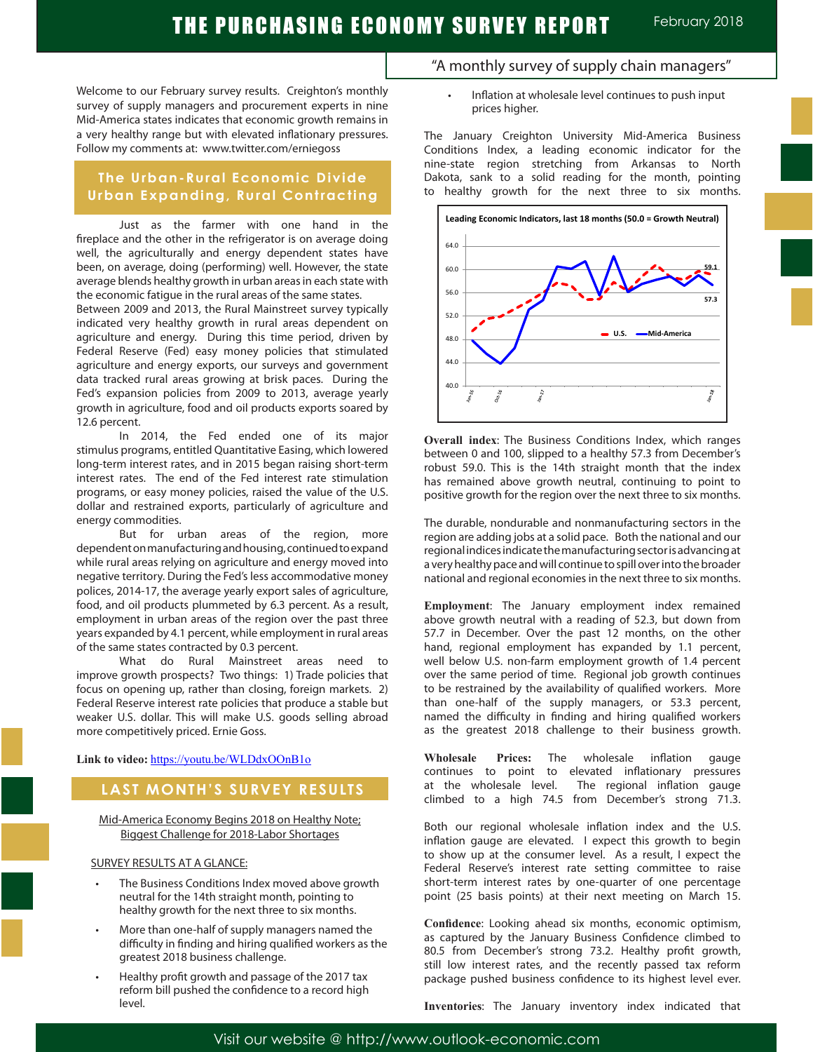Welcome to our February survey results. Creighton's monthly survey of supply managers and procurement experts in nine Mid-America states indicates that economic growth remains in a very healthy range but with elevated inflationary pressures. Follow my comments at: www.twitter.com/erniegoss

### **The Urban-Rural Economic Divide Urban Expanding, Rural Contracting**

Just as the farmer with one hand in the fireplace and the other in the refrigerator is on average doing well, the agriculturally and energy dependent states have been, on average, doing (performing) well. However, the state average blends healthy growth in urban areas in each state with the economic fatigue in the rural areas of the same states.

Between 2009 and 2013, the Rural Mainstreet survey typically indicated very healthy growth in rural areas dependent on agriculture and energy. During this time period, driven by Federal Reserve (Fed) easy money policies that stimulated agriculture and energy exports, our surveys and government data tracked rural areas growing at brisk paces. During the Fed's expansion policies from 2009 to 2013, average yearly growth in agriculture, food and oil products exports soared by 12.6 percent.

In 2014, the Fed ended one of its major stimulus programs, entitled Quantitative Easing, which lowered long-term interest rates, and in 2015 began raising short-term interest rates. The end of the Fed interest rate stimulation programs, or easy money policies, raised the value of the U.S. dollar and restrained exports, particularly of agriculture and energy commodities.

But for urban areas of the region, more dependent on manufacturing and housing, continued to expand while rural areas relying on agriculture and energy moved into negative territory. During the Fed's less accommodative money polices, 2014-17, the average yearly export sales of agriculture, food, and oil products plummeted by 6.3 percent. As a result, employment in urban areas of the region over the past three years expanded by 4.1 percent, while employment in rural areas of the same states contracted by 0.3 percent.

What do Rural Mainstreet areas need to improve growth prospects? Two things: 1) Trade policies that focus on opening up, rather than closing, foreign markets. 2) Federal Reserve interest rate policies that produce a stable but weaker U.S. dollar. This will make U.S. goods selling abroad more competitively priced. Ernie Goss.

Link to video: https://youtu.be/WLDdxOOnB1o

### **LAST MONTH'S SURVEY RESULTS**

Mid-America Economy Begins 2018 on Healthy Note; Biggest Challenge for 2018-Labor Shortages

### SURVEY RESULTS AT A GLANCE:

- The Business Conditions Index moved above growth neutral for the 14th straight month, pointing to healthy growth for the next three to six months.
- More than one-half of supply managers named the difficulty in finding and hiring qualified workers as the greatest 2018 business challenge.
- Healthy profit growth and passage of the 2017 tax reform bill pushed the confidence to a record high level.
- "A monthly survey of supply chain managers"
	- Inflation at wholesale level continues to push input prices higher.

The January Creighton University Mid-America Business Conditions Index, a leading economic indicator for the nine-state region stretching from Arkansas to North Dakota, sank to a solid reading for the month, pointing to healthy growth for the next three to six months.



**Overall index**: The Business Conditions Index, which ranges between 0 and 100, slipped to a healthy 57.3 from December's robust 59.0. This is the 14th straight month that the index has remained above growth neutral, continuing to point to positive growth for the region over the next three to six months.

The durable, nondurable and nonmanufacturing sectors in the region are adding jobs at a solid pace. Both the national and our regional indices indicate the manufacturing sector is advancing at a very healthy pace and will continue to spill over into the broader national and regional economies in the next three to six months.

**Employment**: The January employment index remained above growth neutral with a reading of 52.3, but down from 57.7 in December. Over the past 12 months, on the other hand, regional employment has expanded by 1.1 percent, well below U.S. non-farm employment growth of 1.4 percent over the same period of time. Regional job growth continues to be restrained by the availability of qualified workers. More than one-half of the supply managers, or 53.3 percent, named the difficulty in finding and hiring qualified workers as the greatest 2018 challenge to their business growth.

**Wholesale Prices:** The wholesale inflation gauge continues to point to elevated inflationary pressures at the wholesale level. The regional inflation gauge climbed to a high 74.5 from December's strong 71.3.

Both our regional wholesale inflation index and the U.S. inflation gauge are elevated. I expect this growth to begin to show up at the consumer level. As a result, I expect the Federal Reserve's interest rate setting committee to raise short-term interest rates by one-quarter of one percentage point (25 basis points) at their next meeting on March 15.

**Confidence**: Looking ahead six months, economic optimism, as captured by the January Business Confidence climbed to 80.5 from December's strong 73.2. Healthy profit growth, still low interest rates, and the recently passed tax reform package pushed business confidence to its highest level ever.

**Inventories**: The January inventory index indicated that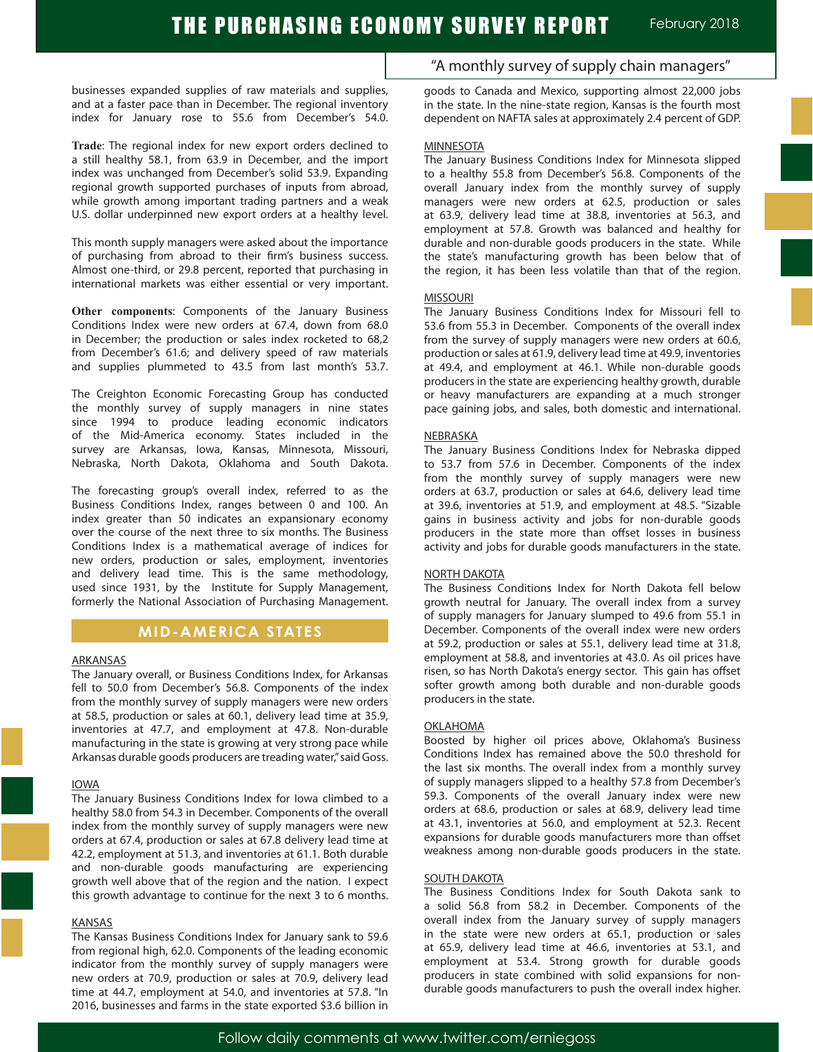businesses expanded supplies of raw materials and supplies, and at a faster pace than in December. The regional inventory index for January rose to 55.6 from December's 54.0.

**Trade**: The regional index for new export orders declined to a still healthy 58.1, from 63.9 in December, and the import index was unchanged from December's solid 53.9. Expanding regional growth supported purchases of inputs from abroad, while growth among important trading partners and a weak U.S. dollar underpinned new export orders at a healthy level.

This month supply managers were asked about the importance of purchasing from abroad to their firm's business success. Almost one-third, or 29.8 percent, reported that purchasing in international markets was either essential or very important.

**Other components**: Components of the January Business Conditions Index were new orders at 67.4, down from 68.0 in December; the production or sales index rocketed to 68,2 from December's 61.6; and delivery speed of raw materials and supplies plummeted to 43.5 from last month's 53.7.

The Creighton Economic Forecasting Group has conducted the monthly survey of supply managers in nine states since 1994 to produce leading economic indicators of the Mid-America economy. States included in the survey are Arkansas, Iowa, Kansas, Minnesota, Missouri, Nebraska, North Dakota, Oklahoma and South Dakota.

The forecasting group's overall index, referred to as the Business Conditions Index, ranges between 0 and 100. An index greater than 50 indicates an expansionary economy over the course of the next three to six months. The Business Conditions Index is a mathematical average of indices for new orders, production or sales, employment, inventories and delivery lead time. This is the same methodology, used since 1931, by the Institute for Supply Management, formerly the National Association of Purchasing Management.

### **MID-AMERICA STATES**

### ARKANSAS

The January overall, or Business Conditions Index, for Arkansas fell to 50.0 from December's 56.8. Components of the index from the monthly survey of supply managers were new orders at 58.5, production or sales at 60.1, delivery lead time at 35.9, inventories at 47.7, and employment at 47.8. Non-durable manufacturing in the state is growing at very strong pace while Arkansas durable goods producers are treading water," said Goss.

#### IOWA

The January Business Conditions Index for Iowa climbed to a healthy 58.0 from 54.3 in December. Components of the overall index from the monthly survey of supply managers were new orders at 67.4, production or sales at 67.8 delivery lead time at 42.2, employment at 51.3, and inventories at 61.1. Both durable and non-durable goods manufacturing are experiencing growth well above that of the region and the nation. I expect this growth advantage to continue for the next 3 to 6 months.

#### KANSAS

The Kansas Business Conditions Index for January sank to 59.6 from regional high, 62.0. Components of the leading economic indicator from the monthly survey of supply managers were new orders at 70.9, production or sales at 70.9, delivery lead time at 44.7, employment at 54.0, and inventories at 57.8. "In 2016, businesses and farms in the state exported \$3.6 billion in

"A monthly survey of supply chain managers"

goods to Canada and Mexico, supporting almost 22,000 jobs in the state. In the nine-state region, Kansas is the fourth most dependent on NAFTA sales at approximately 2.4 percent of GDP.

#### **MINNESOTA**

The January Business Conditions Index for Minnesota slipped to a healthy 55.8 from December's 56.8. Components of the overall January index from the monthly survey of supply managers were new orders at 62.5, production or sales at 63.9, delivery lead time at 38.8, inventories at 56.3, and employment at 57.8. Growth was balanced and healthy for durable and non-durable goods producers in the state. While the state's manufacturing growth has been below that of the region, it has been less volatile than that of the region.

### MISSOURI

The January Business Conditions Index for Missouri fell to 53.6 from 55.3 in December. Components of the overall index from the survey of supply managers were new orders at 60.6, production or sales at 61.9, delivery lead time at 49.9, inventories at 49.4, and employment at 46.1. While non-durable goods producers in the state are experiencing healthy growth, durable or heavy manufacturers are expanding at a much stronger pace gaining jobs, and sales, both domestic and international.

### **NEBRASKA**

The January Business Conditions Index for Nebraska dipped to 53.7 from 57.6 in December. Components of the index from the monthly survey of supply managers were new orders at 63.7, production or sales at 64.6, delivery lead time at 39.6, inventories at 51.9, and employment at 48.5. "Sizable gains in business activity and jobs for non-durable goods producers in the state more than offset losses in business activity and jobs for durable goods manufacturers in the state.

### NORTH DAKOTA

The Business Conditions Index for North Dakota fell below growth neutral for January. The overall index from a survey of supply managers for January slumped to 49.6 from 55.1 in December. Components of the overall index were new orders at 59.2, production or sales at 55.1, delivery lead time at 31.8, employment at 58.8, and inventories at 43.0. As oil prices have risen, so has North Dakota's energy sector. This gain has offset softer growth among both durable and non-durable goods producers in the state.

### OKLAHOMA

Boosted by higher oil prices above, Oklahoma's Business Conditions Index has remained above the 50.0 threshold for the last six months. The overall index from a monthly survey of supply managers slipped to a healthy 57.8 from December's 59.3. Components of the overall January index were new orders at 68.6, production or sales at 68.9, delivery lead time at 43.1, inventories at 56.0, and employment at 52.3. Recent expansions for durable goods manufacturers more than offset weakness among non-durable goods producers in the state.

#### SOUTH DAKOTA

The Business Conditions Index for South Dakota sank to a solid 56.8 from 58.2 in December. Components of the overall index from the January survey of supply managers in the state were new orders at 65.1, production or sales at 65.9, delivery lead time at 46.6, inventories at 53.1, and employment at 53.4. Strong growth for durable goods producers in state combined with solid expansions for nondurable goods manufacturers to push the overall index higher.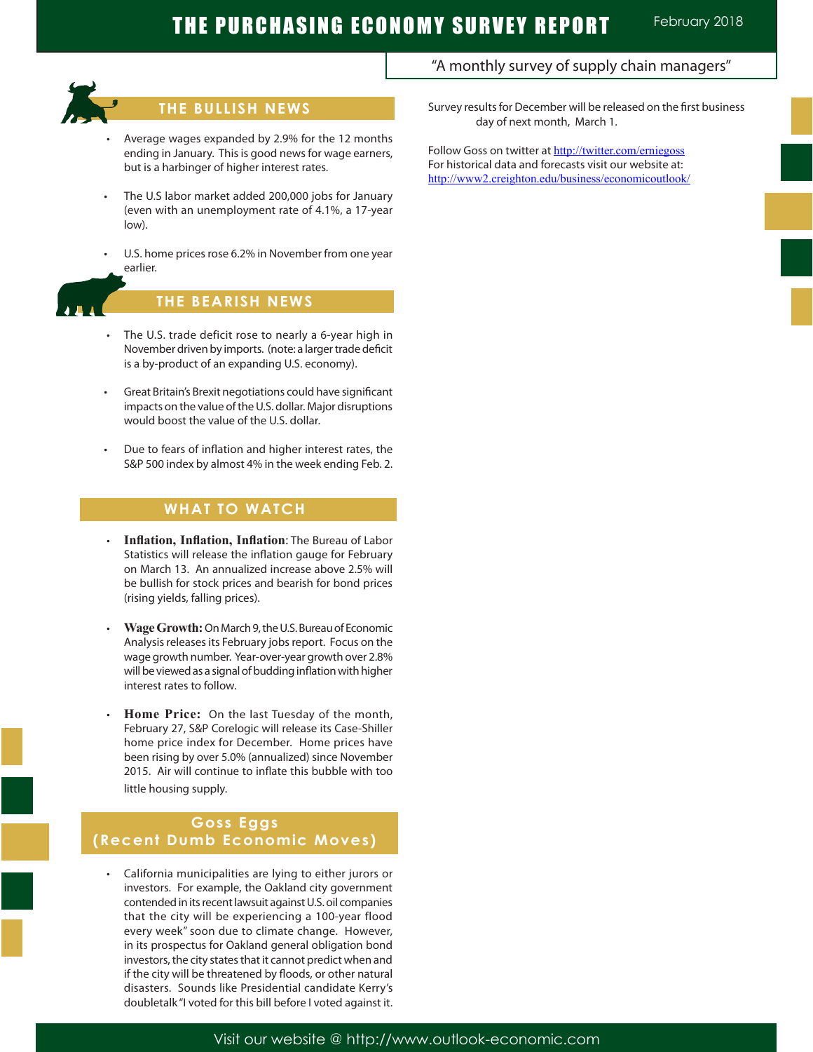

# **THE BULLISH NEWS**

- Average wages expanded by 2.9% for the 12 months ending in January. This is good news for wage earners, but is a harbinger of higher interest rates.
- The U.S labor market added 200,000 jobs for January (even with an unemployment rate of 4.1%, a 17-year low).
- U.S. home prices rose 6.2% in November from one year earlier.



# **THE BEARISH NEWS**

- The U.S. trade deficit rose to nearly a 6-year high in November driven by imports. (note: a larger trade deficit is a by-product of an expanding U.S. economy).
- Great Britain's Brexit negotiations could have significant impacts on the value of the U.S. dollar. Major disruptions would boost the value of the U.S. dollar.
- Due to fears of inflation and higher interest rates, the S&P 500 index by almost 4% in the week ending Feb. 2.

## **WHAT TO WATCH**

- • **Inflation, Inflation, Inflation**: The Bureau of Labor Statistics will release the inflation gauge for February on March 13. An annualized increase above 2.5% will be bullish for stock prices and bearish for bond prices (rising yields, falling prices).
- **Wage Growth: On March 9, the U.S. Bureau of Economic** Analysis releases its February jobs report. Focus on the wage growth number. Year-over-year growth over 2.8% will be viewed as a signal of budding inflation with higher interest rates to follow.
- Home Price: On the last Tuesday of the month, February 27, S&P Corelogic will release its Case-Shiller home price index for December. Home prices have been rising by over 5.0% (annualized) since November 2015. Air will continue to inflate this bubble with too little housing supply.

### **Goss Eggs (Recent Dumb Economic Moves)**

 • California municipalities are lying to either jurors or investors. For example, the Oakland city government contended in its recent lawsuit against U.S. oil companies that the city will be experiencing a 100-year flood every week" soon due to climate change. However, in its prospectus for Oakland general obligation bond investors, the city states that it cannot predict when and if the city will be threatened by floods, or other natural disasters. Sounds like Presidential candidate Kerry's doubletalk "I voted for this bill before I voted against it. "A monthly survey of supply chain managers"

Survey results for December will be released on the first business day of next month, March 1.

Follow Goss on twitter at http://twitter.com/erniegoss For historical data and forecasts visit our website at: http://www2.creighton.edu/business/economicoutlook/